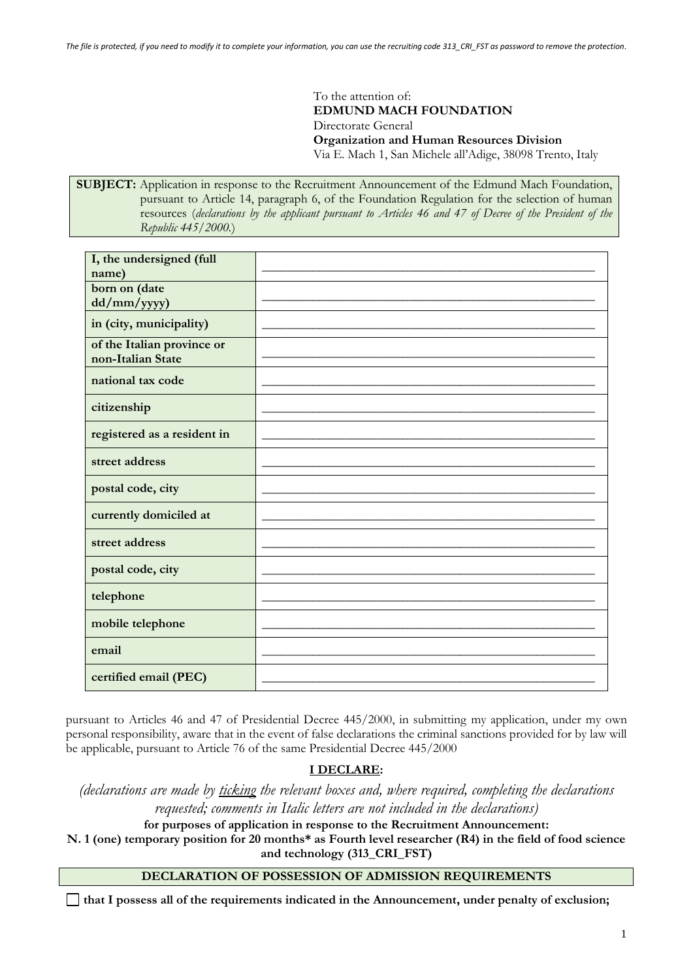To the attention of: **EDMUND MACH FOUNDATION** Directorate General **Organization and Human Resources Division** Via E. Mach 1, San Michele all'Adige, 38098 Trento, Italy

**SUBJECT:** Application in response to the Recruitment Announcement of the Edmund Mach Foundation, pursuant to Article 14, paragraph 6, of the Foundation Regulation for the selection of human resources (*declarations by the applicant pursuant to Articles 46 and 47 of Decree of the President of the Republic 445/2000.*)

| I, the undersigned (full    |  |
|-----------------------------|--|
| name)                       |  |
| born on date                |  |
| dd/mm/yyyy)                 |  |
|                             |  |
| in (city, municipality)     |  |
| of the Italian province or  |  |
| non-Italian State           |  |
|                             |  |
| national tax code           |  |
|                             |  |
| citizenship                 |  |
|                             |  |
|                             |  |
| registered as a resident in |  |
|                             |  |
| street address              |  |
|                             |  |
| postal code, city           |  |
|                             |  |
| currently domiciled at      |  |
|                             |  |
| street address              |  |
|                             |  |
| postal code, city           |  |
|                             |  |
| telephone                   |  |
|                             |  |
|                             |  |
| mobile telephone            |  |
|                             |  |
| email                       |  |
|                             |  |
| certified email (PEC)       |  |
|                             |  |

pursuant to Articles 46 and 47 of Presidential Decree 445/2000, in submitting my application, under my own personal responsibility, aware that in the event of false declarations the criminal sanctions provided for by law will be applicable, pursuant to Article 76 of the same Presidential Decree 445/2000

# **I DECLARE:**

*(declarations are made by ticking the relevant boxes and, where required, completing the declarations requested; comments in Italic letters are not included in the declarations)*

**for purposes of application in response to the Recruitment Announcement:**

**N. 1 (one) temporary position for 20 months\* as Fourth level researcher (R4) in the field of food science and technology (313\_CRI\_FST)**

## **DECLARATION OF POSSESSION OF ADMISSION REQUIREMENTS**

**that I possess all of the requirements indicated in the Announcement, under penalty of exclusion;**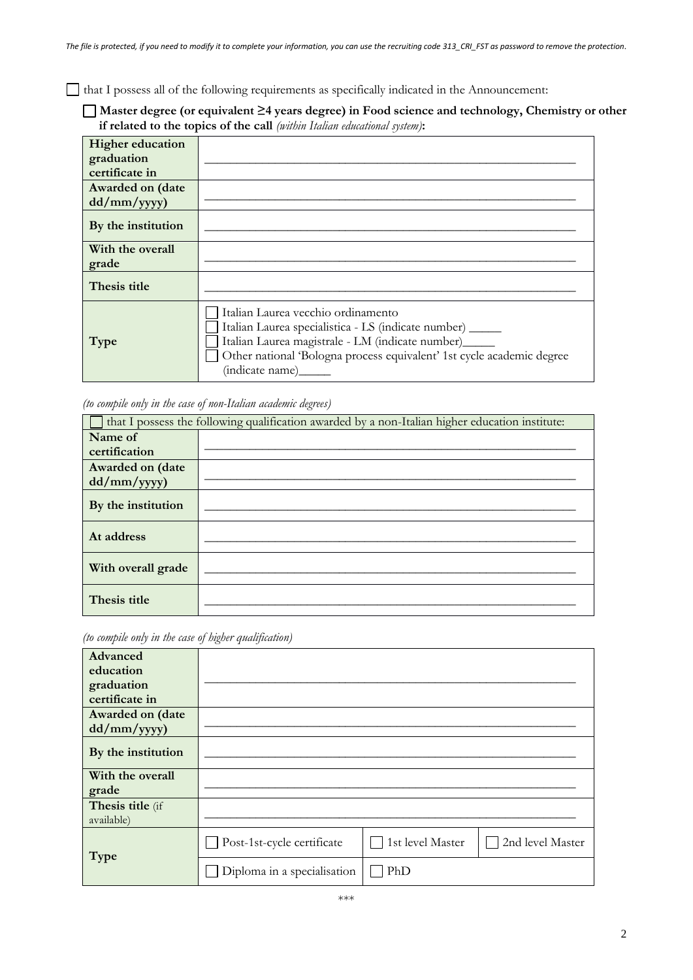that I possess all of the following requirements as specifically indicated in the Announcement:

**Master degree (or equivalent ≥4 years degree) in Food science and technology, Chemistry or other if related to the topics of the call** *(within Italian educational system)***:**

| <b>Higher education</b><br>graduation<br>certificate in |                                                                                                                                                                                                                                                        |
|---------------------------------------------------------|--------------------------------------------------------------------------------------------------------------------------------------------------------------------------------------------------------------------------------------------------------|
| Awarded on (date<br>$dd/mm/$ yyyy)                      |                                                                                                                                                                                                                                                        |
| By the institution                                      |                                                                                                                                                                                                                                                        |
| With the overall<br>grade                               |                                                                                                                                                                                                                                                        |
| Thesis title                                            |                                                                                                                                                                                                                                                        |
| Type                                                    | Italian Laurea vecchio ordinamento<br>Italian Laurea specialistica - LS (indicate number) ______<br>Italian Laurea magistrale - LM (indicate number)______<br>Other national 'Bologna process equivalent' 1st cycle academic degree<br>(indicate name) |

*(to compile only in the case of non-Italian academic degrees)*

| that I possess the following qualification awarded by a non-Italian higher education institute: |  |  |  |
|-------------------------------------------------------------------------------------------------|--|--|--|
| Name of                                                                                         |  |  |  |
| certification                                                                                   |  |  |  |
| Awarded on (date                                                                                |  |  |  |
| $dd/mm/$ yyyy)                                                                                  |  |  |  |
| By the institution                                                                              |  |  |  |
| At address                                                                                      |  |  |  |
| With overall grade                                                                              |  |  |  |
| Thesis title                                                                                    |  |  |  |

*(to compile only in the case of higher qualification)*

| Advanced           |                             |                  |                  |
|--------------------|-----------------------------|------------------|------------------|
| education          |                             |                  |                  |
| graduation         |                             |                  |                  |
| certificate in     |                             |                  |                  |
| Awarded on (date   |                             |                  |                  |
| dd/mm/yyyy)        |                             |                  |                  |
| By the institution |                             |                  |                  |
| With the overall   |                             |                  |                  |
| grade              |                             |                  |                  |
| Thesis title (if   |                             |                  |                  |
| available)         |                             |                  |                  |
| Type               | Post-1st-cycle certificate  | 1st level Master | 2nd level Master |
|                    | Diploma in a specialisation | PhD              |                  |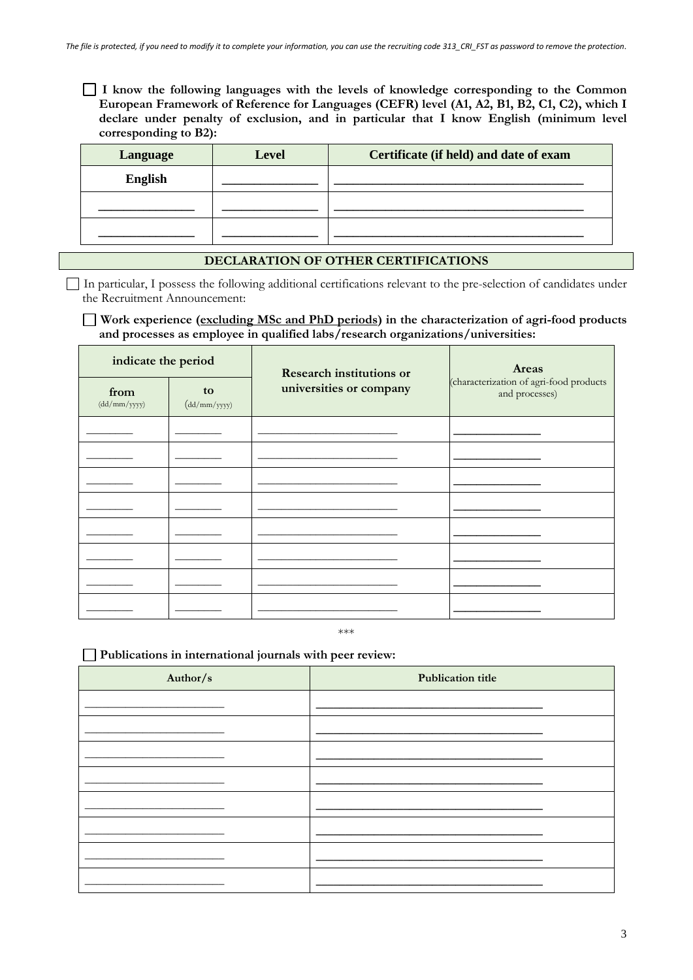**I know the following languages with the levels of knowledge corresponding to the Common European Framework of Reference for Languages (CEFR) level (A1, A2, B1, B2, C1, C2), which I declare under penalty of exclusion, and in particular that I know English (minimum level corresponding to B2):**

| Language       | <b>Level</b> | Certificate (if held) and date of exam |
|----------------|--------------|----------------------------------------|
| <b>English</b> |              |                                        |
|                |              |                                        |
|                |              |                                        |

### **DECLARATION OF OTHER CERTIFICATIONS**

In particular, I possess the following additional certifications relevant to the pre-selection of candidates under the Recruitment Announcement:

#### **Work experience (excluding MSc and PhD periods) in the characterization of agri-food products and processes as employee in qualified labs/research organizations/universities:**

| indicate the period  |                                                   | <b>Research institutions or</b> | Areas                                                     |  |
|----------------------|---------------------------------------------------|---------------------------------|-----------------------------------------------------------|--|
| from<br>(dd/mm/yyyy) | to<br>$\left(\frac{dd}{mm}/\frac{yyyy}{m}\right)$ | universities or company         | (characterization of agri-food products<br>and processes) |  |
|                      |                                                   |                                 |                                                           |  |
|                      |                                                   |                                 |                                                           |  |
|                      |                                                   |                                 |                                                           |  |
|                      |                                                   |                                 |                                                           |  |
|                      |                                                   |                                 |                                                           |  |
|                      |                                                   |                                 |                                                           |  |
|                      |                                                   |                                 |                                                           |  |
|                      |                                                   |                                 |                                                           |  |

\*\*\*

#### **Publications in international journals with peer review:**

| Author/s | <b>Publication title</b> |  |  |
|----------|--------------------------|--|--|
|          |                          |  |  |
|          |                          |  |  |
|          |                          |  |  |
|          |                          |  |  |
|          |                          |  |  |
|          |                          |  |  |
|          |                          |  |  |
|          |                          |  |  |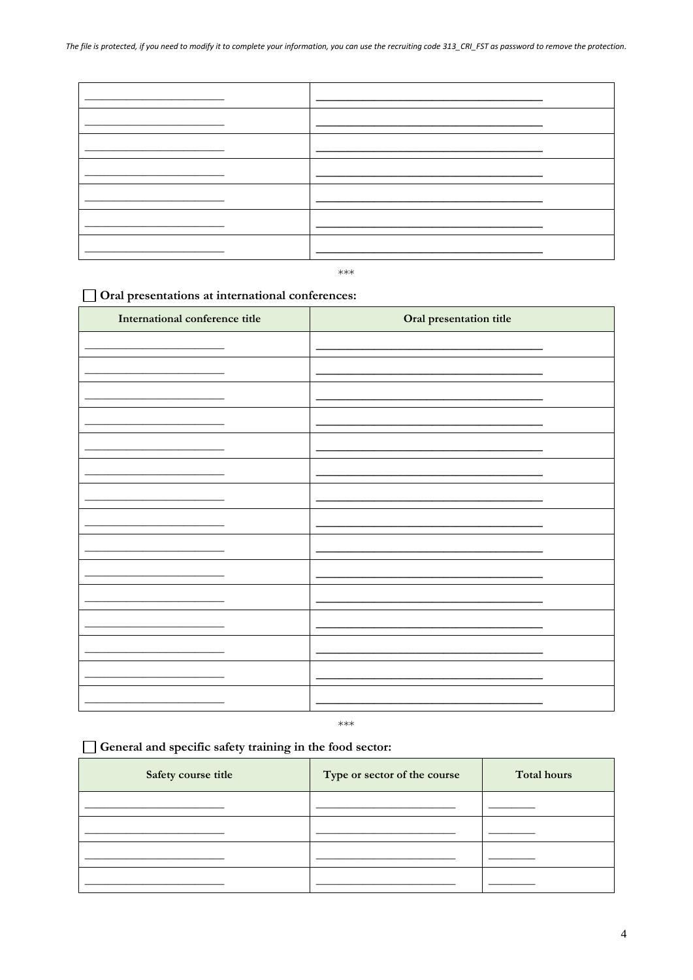$***$ 

# Oral presentations at international conferences:

| International conference title | Oral presentation title |
|--------------------------------|-------------------------|
|                                |                         |
|                                |                         |
|                                |                         |
|                                |                         |
|                                |                         |
|                                |                         |
|                                |                         |
|                                |                         |
|                                |                         |
|                                |                         |
|                                |                         |
|                                |                         |
|                                |                         |
|                                |                         |
|                                |                         |
|                                |                         |

 $***$ 

# General and specific safety training in the food sector:

| Safety course title | Type or sector of the course | <b>Total hours</b> |
|---------------------|------------------------------|--------------------|
|                     |                              |                    |
|                     |                              |                    |
|                     |                              |                    |
|                     |                              |                    |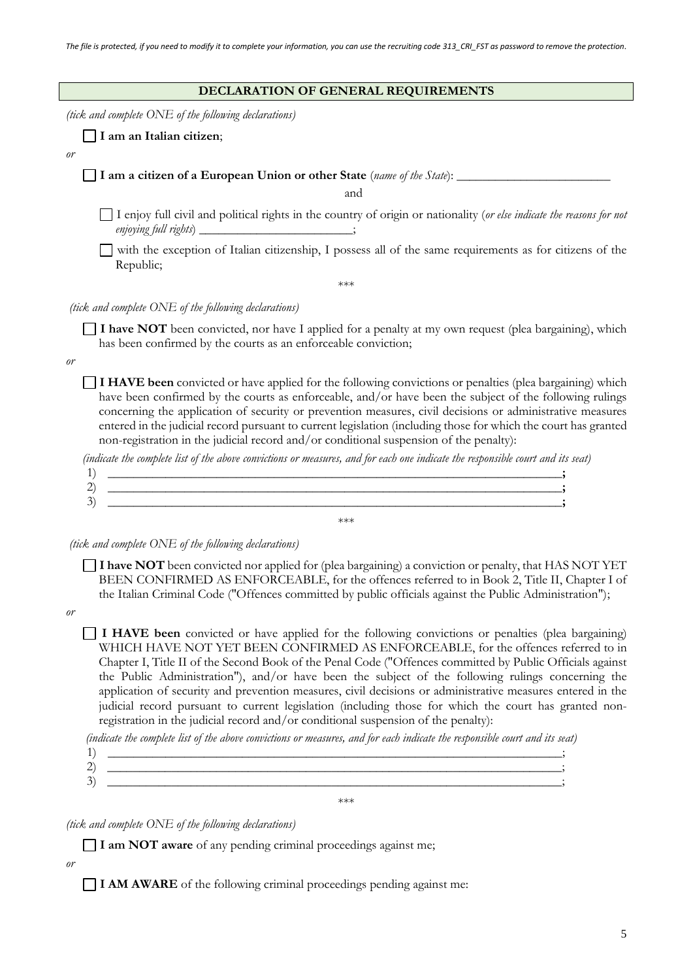| DECLARATION OF GENERAL REQUIREMENTS                                                                                                                                                                                                                                                                                                                                                                                                                                                                                                           |
|-----------------------------------------------------------------------------------------------------------------------------------------------------------------------------------------------------------------------------------------------------------------------------------------------------------------------------------------------------------------------------------------------------------------------------------------------------------------------------------------------------------------------------------------------|
| (tick and complete ONE of the following declarations)                                                                                                                                                                                                                                                                                                                                                                                                                                                                                         |
| I am an Italian citizen;                                                                                                                                                                                                                                                                                                                                                                                                                                                                                                                      |
| or                                                                                                                                                                                                                                                                                                                                                                                                                                                                                                                                            |
| I am a citizen of a European Union or other State (name of the State): ________                                                                                                                                                                                                                                                                                                                                                                                                                                                               |
| and                                                                                                                                                                                                                                                                                                                                                                                                                                                                                                                                           |
| I enjoy full civil and political rights in the country of origin or nationality (or else indicate the reasons for not<br>enjoying full rights) ___________________________;                                                                                                                                                                                                                                                                                                                                                                   |
| with the exception of Italian citizenship, I possess all of the same requirements as for citizens of the<br>Republic;                                                                                                                                                                                                                                                                                                                                                                                                                         |
| $***$                                                                                                                                                                                                                                                                                                                                                                                                                                                                                                                                         |
| <i>(tick and complete ONE of the following declarations)</i>                                                                                                                                                                                                                                                                                                                                                                                                                                                                                  |
| I have NOT been convicted, nor have I applied for a penalty at my own request (plea bargaining), which<br>has been confirmed by the courts as an enforceable conviction;                                                                                                                                                                                                                                                                                                                                                                      |
| or                                                                                                                                                                                                                                                                                                                                                                                                                                                                                                                                            |
| I HAVE been convicted or have applied for the following convictions or penalties (plea bargaining) which<br>have been confirmed by the courts as enforceable, and/or have been the subject of the following rulings<br>concerning the application of security or prevention measures, civil decisions or administrative measures<br>entered in the judicial record pursuant to current legislation (including those for which the court has granted<br>non-registration in the judicial record and/or conditional suspension of the penalty): |
| (indicate the complete list of the above convictions or measures, and for each one indicate the responsible court and its seat)                                                                                                                                                                                                                                                                                                                                                                                                               |
| 1)<br><u> 1989 - Johann Stoff, Amerikaansk politiker († 1989)</u><br>2)                                                                                                                                                                                                                                                                                                                                                                                                                                                                       |
| 3)<br><u> 1989 - Johann Harry Harry Harry Harry Harry Harry Harry Harry Harry Harry Harry Harry Harry Harry Harry Harry</u>                                                                                                                                                                                                                                                                                                                                                                                                                   |
| $***$                                                                                                                                                                                                                                                                                                                                                                                                                                                                                                                                         |

*(tick and complete ONE of the following declarations)*

**I have NOT** been convicted nor applied for (plea bargaining) a conviction or penalty, that HAS NOT YET BEEN CONFIRMED AS ENFORCEABLE, for the offences referred to in Book 2, Title II, Chapter I of the Italian Criminal Code ("Offences committed by public officials against the Public Administration");

*or* 

**I HAVE been** convicted or have applied for the following convictions or penalties (plea bargaining) WHICH HAVE NOT YET BEEN CONFIRMED AS ENFORCEABLE, for the offences referred to in Chapter I, Title II of the Second Book of the Penal Code ("Offences committed by Public Officials against the Public Administration"), and/or have been the subject of the following rulings concerning the application of security and prevention measures, civil decisions or administrative measures entered in the judicial record pursuant to current legislation (including those for which the court has granted nonregistration in the judicial record and/or conditional suspension of the penalty):

*(indicate the complete list of the above convictions or measures, and for each indicate the responsible court and its seat)*

\*\*\*

*(tick and complete ONE of the following declarations)*

**I am NOT aware** of any pending criminal proceedings against me;

*or*

**I AM AWARE** of the following criminal proceedings pending against me: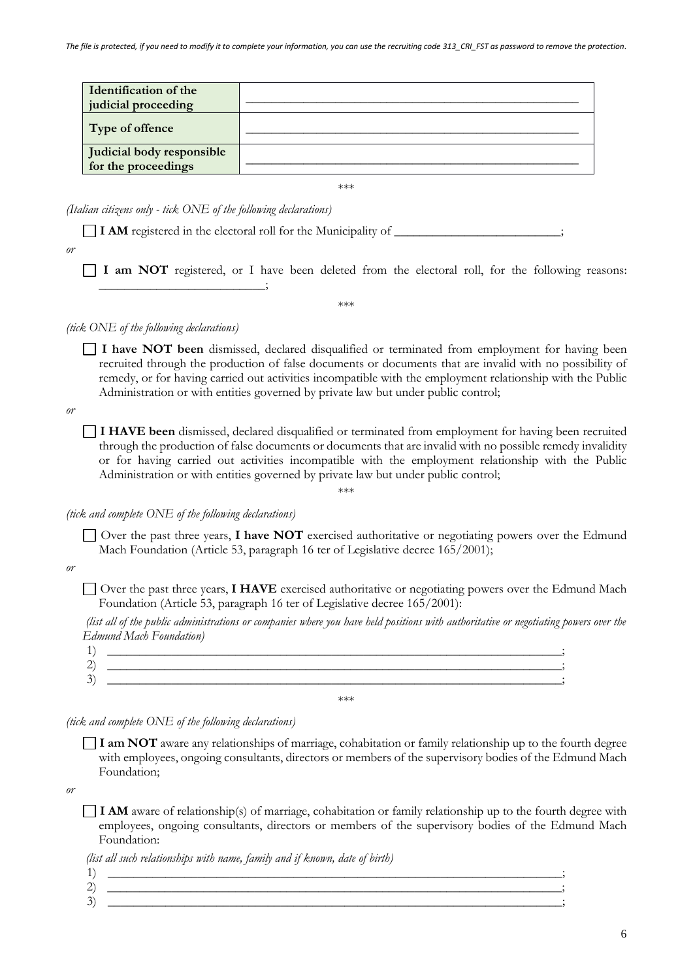| <b>Identification of the</b><br>judicial proceeding |  |
|-----------------------------------------------------|--|
| Type of offence                                     |  |
| Judicial body responsible<br>for the proceedings    |  |

\*\*\*

\*\*\*

*(Italian citizens only - tick ONE of the following declarations)*

**\_\_\_\_\_\_\_\_\_\_\_\_\_\_\_\_\_\_\_\_\_\_\_\_\_\_**;

 $\Box$  **I AM** registered in the electoral roll for the Municipality of

*or*

**I am NOT** registered, or I have been deleted from the electoral roll, for the following reasons:

*(tick ONE of the following declarations)*

**I have NOT been** dismissed, declared disqualified or terminated from employment for having been recruited through the production of false documents or documents that are invalid with no possibility of remedy, or for having carried out activities incompatible with the employment relationship with the Public Administration or with entities governed by private law but under public control;

*or*

**I HAVE been** dismissed, declared disqualified or terminated from employment for having been recruited through the production of false documents or documents that are invalid with no possible remedy invalidity or for having carried out activities incompatible with the employment relationship with the Public Administration or with entities governed by private law but under public control;

\*\*\*

*(tick and complete ONE of the following declarations)*

Over the past three years, **I have NOT** exercised authoritative or negotiating powers over the Edmund Mach Foundation (Article 53, paragraph 16 ter of Legislative decree 165/2001);

#### *or*

Over the past three years, **I HAVE** exercised authoritative or negotiating powers over the Edmund Mach Foundation (Article 53, paragraph 16 ter of Legislative decree 165/2001):

*(list all of the public administrations or companies where you have held positions with authoritative or negotiating powers over the Edmund Mach Foundation)*

| <b>I</b> |     |
|----------|-----|
| n.<br>∼  |     |
| ⌒<br>∽   |     |
| ◡        |     |
|          | *** |

*(tick and complete ONE of the following declarations)*

**I am NOT** aware any relationships of marriage, cohabitation or family relationship up to the fourth degree with employees, ongoing consultants, directors or members of the supervisory bodies of the Edmund Mach Foundation;

*or*

**I AM** aware of relationship(s) of marriage, cohabitation or family relationship up to the fourth degree with employees, ongoing consultants, directors or members of the supervisory bodies of the Edmund Mach Foundation:

*(list all such relationships with name, family and if known, date of birth)*

1) **\_\_\_\_\_\_\_\_\_\_\_\_\_\_\_\_\_\_\_\_\_\_\_\_\_\_\_\_\_\_\_\_\_\_\_\_\_\_\_\_\_\_\_\_\_\_\_\_\_\_\_\_\_\_\_\_\_\_\_\_\_\_\_\_\_\_\_\_\_\_\_**; 2) **\_\_\_\_\_\_\_\_\_\_\_\_\_\_\_\_\_\_\_\_\_\_\_\_\_\_\_\_\_\_\_\_\_\_\_\_\_\_\_\_\_\_\_\_\_\_\_\_\_\_\_\_\_\_\_\_\_\_\_\_\_\_\_\_\_\_\_\_\_\_\_**; 3) **\_\_\_\_\_\_\_\_\_\_\_\_\_\_\_\_\_\_\_\_\_\_\_\_\_\_\_\_\_\_\_\_\_\_\_\_\_\_\_\_\_\_\_\_\_\_\_\_\_\_\_\_\_\_\_\_\_\_\_\_\_\_\_\_\_\_\_\_\_\_\_**;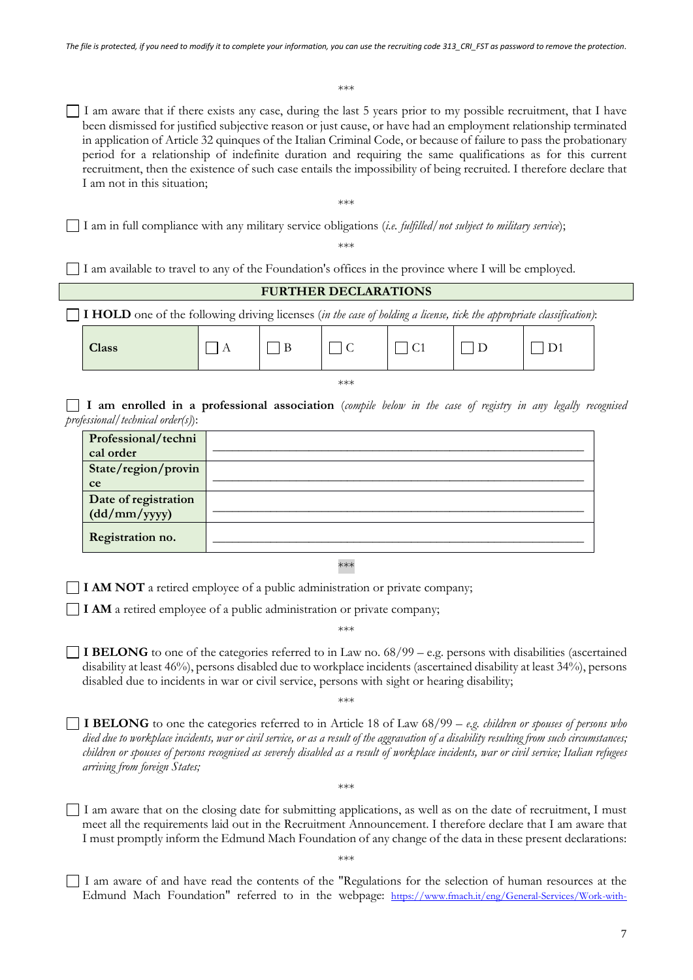\*\*\*

I am aware that if there exists any case, during the last 5 years prior to my possible recruitment, that I have been dismissed for justified subjective reason or just cause, or have had an employment relationship terminated in application of Article 32 quinques of the Italian Criminal Code, or because of failure to pass the probationary period for a relationship of indefinite duration and requiring the same qualifications as for this current recruitment, then the existence of such case entails the impossibility of being recruited. I therefore declare that I am not in this situation;

\*\*\*

I am in full compliance with any military service obligations (*i.e. fulfilled/not subject to military service*);

\*\*\*

I am available to travel to any of the Foundation's offices in the province where I will be employed.

# **FURTHER DECLARATIONS I HOLD** one of the following driving licenses (*in the case of holding a license, tick the appropriate classification)*: **Class**  $\Box$  A  $\Box$  B  $\Box$  C  $\Box$  C1  $\Box$  D  $\Box$  D1 \*\*\* **I am enrolled in a professional association** (*compile below in the case of registry in any legally recognised professional/technical order(s)*): **Professional/techni** r foressionar/cenin<br>cal order

| State/region/provin                  |  |
|--------------------------------------|--|
| ce                                   |  |
| Date of registration<br>(dd/mm/yyyy) |  |
| Registration no.                     |  |

\*\*\*

**I AM NOT** a retired employee of a public administration or private company;

**I AM** a retired employee of a public administration or private company;

\*\*\*

**I BELONG** to one of the categories referred to in Law no. 68/99 – e.g. persons with disabilities (ascertained disability at least 46%), persons disabled due to workplace incidents (ascertained disability at least 34%), persons disabled due to incidents in war or civil service, persons with sight or hearing disability;

\*\*\*

**I BELONG** to one the categories referred to in Article 18 of Law 68/99 – *e.g. children or spouses of persons who died due to workplace incidents, war or civil service, or as a result of the aggravation of a disability resulting from such circumstances; children or spouses of persons recognised as severely disabled as a result of workplace incidents, war or civil service; Italian refugees arriving from foreign States;*

I am aware that on the closing date for submitting applications, as well as on the date of recruitment, I must meet all the requirements laid out in the Recruitment Announcement. I therefore declare that I am aware that I must promptly inform the Edmund Mach Foundation of any change of the data in these present declarations:

\*\*\*

\*\*\*

I am aware of and have read the contents of the "Regulations for the selection of human resources at the Edmund Mach Foundation" referred to in the webpage: [https://www.fmach.it/eng/General-Services/Work-with-](https://www.fmach.it/eng/General-Services/Work-with-us/Documents-of-Reference/Regulations-for-the-recruitment-of-human-resources)